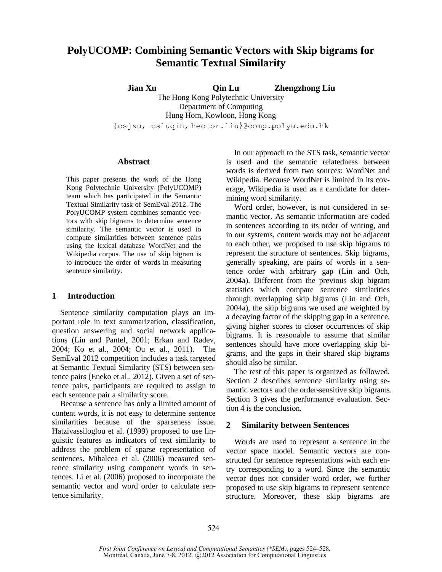# **PolyUCOMP: Combining Semantic Vectors with Skip bigrams for Semantic Textual Similarity**

**Jian Xu Qin Lu Zhengzhong Liu** The Hong Kong Polytechnic University Department of Computing Hung Hom, Kowloon, Hong Kong {csjxu, csluqin, hector.liu}@comp.polyu.edu.hk

#### **Abstract**

This paper presents the work of the Hong Kong Polytechnic University (PolyUCOMP) team which has participated in the Semantic Textual Similarity task of SemEval-2012. The PolyUCOMP system combines semantic vectors with skip bigrams to determine sentence similarity. The semantic vector is used to compute similarities between sentence pairs using the lexical database WordNet and the Wikipedia corpus. The use of skip bigram is to introduce the order of words in measuring sentence similarity.

### **1 Introduction**

Sentence similarity computation plays an important role in text summarization, classification, question answering and social network applications (Lin and Pantel, 2001; Erkan and Radev, 2004; Ko et al., 2004; Ou et al., 2011). The SemEval 2012 competition includes a task targeted at Semantic Textual Similarity (STS) between sentence pairs (Eneko et al., 2012). Given a set of sentence pairs, participants are required to assign to each sentence pair a similarity score.

Because a sentence has only a limited amount of content words, it is not easy to determine sentence similarities because of the sparseness issue. Hatzivassiloglou et al. (1999) proposed to use linguistic features as indicators of text similarity to address the problem of sparse representation of sentences. Mihalcea et al. (2006) measured sentence similarity using component words in sentences. Li et al. (2006) proposed to incorporate the semantic vector and word order to calculate sentence similarity.

In our approach to the STS task, semantic vector is used and the semantic relatedness between words is derived from two sources: WordNet and Wikipedia. Because WordNet is limited in its coverage, Wikipedia is used as a candidate for determining word similarity.

Word order, however, is not considered in semantic vector. As semantic information are coded in sentences according to its order of writing, and in our systems, content words may not be adjacent to each other, we proposed to use skip bigrams to represent the structure of sentences. Skip bigrams, generally speaking, are pairs of words in a sentence order with arbitrary gap (Lin and Och, 2004a). Different from the previous skip bigram statistics which compare sentence similarities through overlapping skip bigrams (Lin and Och, 2004a), the skip bigrams we used are weighted by a decaying factor of the skipping gap in a sentence, giving higher scores to closer occurrences of skip bigrams. It is reasonable to assume that similar sentences should have more overlapping skip bigrams, and the gaps in their shared skip bigrams should also be similar.

The rest of this paper is organized as followed. Section 2 describes sentence similarity using semantic vectors and the order-sensitive skip bigrams. Section 3 gives the performance evaluation. Section 4 is the conclusion.

# **2 Similarity between Sentences**

Words are used to represent a sentence in the vector space model. Semantic vectors are constructed for sentence representations with each entry corresponding to a word. Since the semantic vector does not consider word order, we further proposed to use skip bigrams to represent sentence structure. Moreover, these skip bigrams are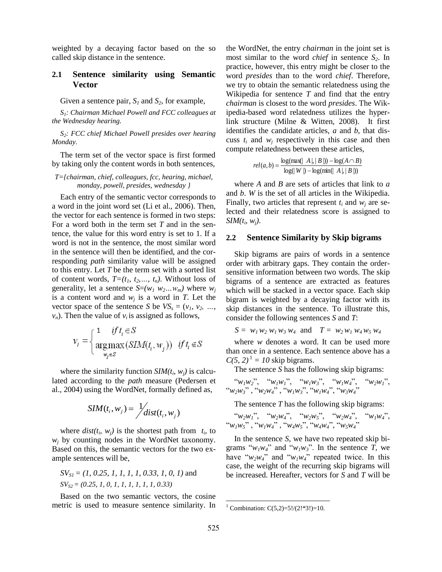weighted by a decaying factor based on the so called skip distance in the sentence.

# **2.1 Sentence similarity using Semantic Vector**

Given a sentence pair,  $S_1$  and  $S_2$ , for example,

*S1: Chairman Michael Powell and FCC colleagues at the Wednesday hearing.*

*S2: FCC chief Michael Powell presides over hearing Monday.*

The term set of the vector space is first formed by taking only the content words in both sentences,

#### *T={chairman, chief, colleagues, fcc, hearing, michael, monday, powell, presides, wednesday }*

Each entry of the semantic vector corresponds to a word in the joint word set (Li et al., 2006). Then, the vector for each sentence is formed in two steps: For a word both in the term set *T* and in the sentence, the value for this word entry is set to 1. If a word is not in the sentence, the most similar word in the sentence will then be identified, and the corresponding *path* similarity value will be assigned to this entry. Let *T* be the term set with a sorted list of content words,  $T=(t_1, t_2, \ldots, t_n)$ . Without loss of generality, let a sentence  $S=(w_1 w_2 ... w_m)$  where  $w_i$ is a content word and  $w_j$  is a word in *T*. Let the vector space of the sentence *S* be  $VS_s = (v_1, v_2, \ldots, v_n)$  $v_n$ ). Then the value of  $v_i$  is assigned as follows,

$$
v_i = \begin{cases} 1 & \text{if } t_i \in S \\ \operatorname*{arg\,max}_{w_j \in S} \left( \operatorname*{SIM}(t_i, w_j) \right) & \text{if } t_i \notin S \end{cases}
$$

where the similarity function  $SIM(t_i, w_j)$  is calculated according to the *path* measure (Pedersen et al., 2004) using the WordNet, formally defined as,

$$
SIM(t_i, w_j) = \frac{1}{\sqrt{dist(t_i, w_j)}}
$$

where  $dist(t_i, w_j)$  is the shortest path from  $t_i$ , to  $w_i$  by counting nodes in the WordNet taxonomy. Based on this, the semantic vectors for the two example sentences will be,

$$
SV_{SI} = (1, 0.25, 1, 1, 1, 1, 0.33, 1, 0, 1)
$$
 and  

$$
SV_{S2} = (0.25, 1, 0, 1, 1, 1, 1, 1, 1, 0.33)
$$

Based on the two semantic vectors, the cosine metric is used to measure sentence similarity. In the WordNet, the entry *chairman* in the joint set is most similar to the word *chief* in sentence *S2*. In practice, however, this entry might be closer to the word *presides* than to the word *chief*. Therefore, we try to obtain the semantic relatedness using the Wikipedia for sentence *T* and find that the entry *chairman* is closest to the word *presides*. The Wikipedia-based word relatedness utilizes the hyperlink structure (Milne & Witten, 2008). It first identifies the candidate articles, *a* and *b*, that discuss *t<sup>i</sup>* and *w<sup>j</sup>* respectively in this case and then compute relatedness between these articles,

$$
rel(a, b) = \frac{\log(\max(|A|, |B|)) - \log(A \cap B)}{\log(|W|) - \log(\min(|A|, |B|))}
$$

where *A* and *B* are sets of articles that link to *a* and *b*. *W* is the set of all articles in the Wikipedia. Finally, two articles that represent  $t_i$  and  $w_i$  are selected and their relatedness score is assigned to *SIM*( $t_i$ ,  $w_j$ ).

## **2.2 Sentence Similarity by Skip bigrams**

Skip bigrams are pairs of words in a sentence order with arbitrary gaps. They contain the ordersensitive information between two words. The skip bigrams of a sentence are extracted as features which will be stacked in a vector space. Each skip bigram is weighted by a decaying factor with its skip distances in the sentence. To illustrate this, consider the following sentences *S* and *T*:

$$
S = w_1 w_2 w_1 w_3 w_4 \text{ and } T = w_2 w_1 w_4 w_5 w_4
$$

where *w* denotes a word. It can be used more than once in a sentence. Each sentence above has a  $C(5, 2)^{1} = 10$  skip bigrams.

The sentence *S* has the following skip bigrams:

"*w1w2*", "*w1w1*", "*w1w3*", "*w1w4*", "*w2w1*", "*w2w3*" , "*w2w4*" , "*w1w3*", "*w1w4*", "*w3w4*"

The sentence *T* has the following skip bigrams:

"*w2w1*", "*w2w4*", "*w2w5*", "*w2w4*", "*w1w4*", "*w1w5*" , "*w1w4*" , "*w4w5*", "*w4w4*", "*w5w4*"

In the sentence *S*, we have two repeated skip bigrams " $w_l w_l$ " and " $w_l w_3$ ". In the sentence *T*, we have " $w_2w_4$ " and " $w_1w_4$ " repeated twice. In this case, the weight of the recurring skip bigrams will be increased. Hereafter, vectors for *S* and *T* will be

l

<sup>&</sup>lt;sup>1</sup> Combination: C(5,2)=5!/(2!\*3!)=10.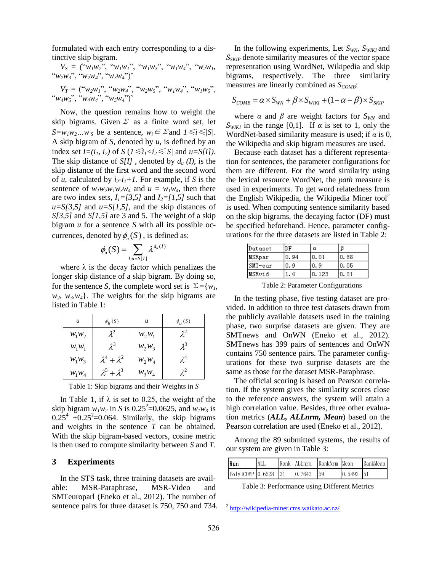formulated with each entry corresponding to a distinctive skip bigram.

 $V_S$  = (" $w_1w_2$ ", " $w_1w_1$ ", " $w_1w_3$ ", " $w_1w_4$ ", " $w_2w_1$ , "*w2w3*", "*w2w4*", "*w3w4*")'

 $V_T =$  (" $w_2w_1$ ", " $w_2w_4$ ", " $w_2w_5$ ", " $w_1w_4$ ", " $w_1w_5$ ", "*w4w5*", "*w4w4*", "*w5w4*")'

Now, the question remains how to weight the skip bigrams. Given  $\Sigma$  as a finite word set, let *S*=*w*<sub>*l</sub>w*<sub>2</sub>*…w*<sub>*IS|*</sub> be a sentence, *w*<sub>*i*</sub> ∈ Σand *1* ≤*i* ≤*|S|*.</sub> A skip bigram of *S*, denoted by *u*, is defined by an index set  $I=(i_1, i_2)$  of  $S \ (1 \le i_1 < i_2 \le |S|)$  and  $u = S[I]$ ). The skip distance of *S[I]* , denoted by *d<sup>u</sup> (I)*, is the skip distance of the first word and the second word of *u*, calculated by  $i_2$ - $i_1$ +1. For example, if *S* is the sentence of  $w_1w_2w_1w_3w_4$  and  $u = w_1w_4$ , then there are two index sets,  $I_1 = [3, 5]$  and  $I_2 = [1, 5]$  such that  $u= S[3,5]$  and  $u= S[1,5]$ , and the skip distances of *S[3,5]* and *S[1,5]* are 3 and 5. The weight of a skip bigram *u* for a sentence *S* with all its possible occurrences, denoted by  $\phi_u(S)$ , is defined as:

$$
\phi_u(S) = \sum_{I:u=S[I]} \lambda^{d_u(I)}
$$

where  $\lambda$  is the decay factor which penalizes the longer skip distance of a skip bigram. By doing so, for the sentence *S*, the complete word set is  $\Sigma = \{w_1,$  $w_2$ ,  $w_3$ ,  $w_4$ }. The weights for the skip bigrams are listed in Table 1:

| u        | $\phi_u\left(S\right)$  | u        | $\phi$ <sub>u</sub> $(S)$ |
|----------|-------------------------|----------|---------------------------|
| $W_1W_2$ | $\lambda^2$             | $W_2W_1$ | $\lambda^2$               |
| $W_1W_1$ | $\lambda^3$             | $W_2W_3$ | $\lambda^3$               |
| $W_1W_3$ | $\lambda^4 + \lambda^2$ | $W_2W_4$ | $\lambda^4$               |
| $W_1W_4$ | $\lambda^5 + \lambda^3$ | $W_3W_4$ |                           |

Table 1: Skip bigrams and their Weights in *S*

In Table 1, if  $\lambda$  is set to 0.25, the weight of the skip bigram  $w_l w_2$  in *S* is 0.25<sup>2</sup>=0.0625, and  $w_l w_3$  is  $0.25^4$  +0.25<sup>2</sup>=0.064. Similarly, the skip bigrams and weights in the sentence *T* can be obtained. With the skip bigram-based vectors, cosine metric is then used to compute similarity between *S* and *T*.

#### **3 Experiments**

In the STS task, three training datasets are available: MSR-Paraphrase, MSR-Video and SMTeuroparl (Eneko et al., 2012). The number of sentence pairs for three dataset is 750, 750 and 734.

In the following experiments, Let  $S_{WN}$ ,  $S_{WIKI}$  and *SSKIP* denote similarity measures of the vector space representation using WordNet, Wikipedia and skip bigrams, respectively. The three similarity measures are linearly combined as  $S_{COMB}$ :

$$
S_{COMB} = \alpha \times S_{WN} + \beta \times S_{WIKI} + (1 - \alpha - \beta) \times S_{SKIP}
$$

where  $\alpha$  and  $\beta$  are weight factors for  $S_{WN}$  and *S*<sup>*WIKI*</sub> in the range [0,1]. If  $\alpha$  is set to 1, only the</sup> WordNet-based similarity measure is used; if *α* is 0, the Wikipedia and skip bigram measures are used.

Because each dataset has a different representation for sentences, the parameter configurations for them are different. For the word similarity using the lexical resource WordNet, the *path* measure is used in experiments. To get word relatedness from the English Wikipedia, the Wikipedia Miner tool<sup>2</sup> is used. When computing sentence similarity based on the skip bigrams, the decaying factor (DF) must be specified beforehand. Hence, parameter configurations for the three datasets are listed in Table 2:

| Dataset | DF   | α     |      |
|---------|------|-------|------|
| MSRpar  | 0.94 | 0.01  | 0.68 |
| SMT-eur | 0.9  | 0.9   | 0.05 |
| MSRvid  |      | 0.123 | 0.01 |

Table 2: Parameter Configurations

In the testing phase, five testing dataset are provided. In addition to three test datasets drawn from the publicly available datasets used in the training phase, two surprise datasets are given. They are SMTnews and OnWN (Eneko et al., 2012). SMTnews has 399 pairs of sentences and OnWN contains 750 sentence pairs. The parameter configurations for these two surprise datasets are the same as those for the dataset MSR-Paraphrase.

The official scoring is based on Pearson correlation. If the system gives the similarity scores close to the reference answers, the system will attain a high correlation value. Besides, three other evaluation metrics (*ALL, ALLnrm, Mean*) based on the Pearson correlation are used (Eneko et al., 2012).

Among the 89 submitted systems, the results of our system are given in Table 3:

| Run                 | ALI. | Rank ALLnrm | RankNrm Mean |             | RankMean |
|---------------------|------|-------------|--------------|-------------|----------|
| PolyUCOMP 0.6528 31 |      | 0.7642      | 159          | $0.5492$ 51 |          |

Table 3: Performance using Different Metrics

l

<sup>&</sup>lt;sup>2</sup> http://wikipedia-miner.cms.waikato.ac.nz/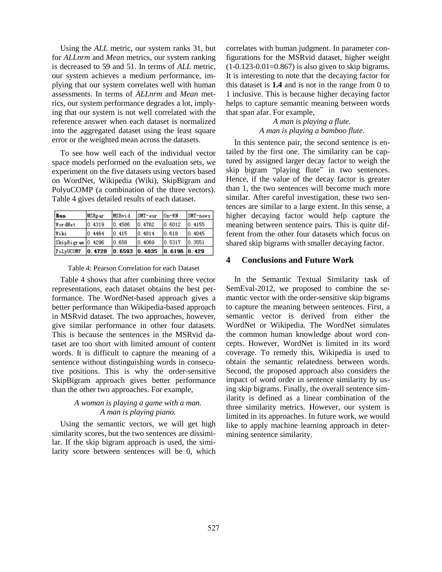Using the *ALL* metric, our system ranks 31, but for *ALLnrm* and *Mean* metrics, our system ranking is decreased to 59 and 51. In terms of *ALL* metric, our system achieves a medium performance, implying that our system correlates well with human assessments. In terms of *ALLnrm* and *Mean* metrics, our system performance degrades a lot, implying that our system is not well correlated with the reference answer when each dataset is normalized into the aggregated dataset using the least square error or the weighted mean across the datasets.

To see how well each of the individual vector space models performed on the evaluation sets, we experiment on the five datasets using vectors based on WordNet, Wikipedia (Wiki), SkipBigram and PolyuCOMP (a combination of the three vectors). Table 4 gives detailed results of each dataset.

| Run               | MSRpar  | MSRvid        | ISMT-eur         | $10n$ -WN        | SMT-news |
|-------------------|---------|---------------|------------------|------------------|----------|
| WordNet           | 10.4319 | 0.4586        | 10.4762          | $ 0.6012\rangle$ | 10.4155  |
| lWiki             | 0.4464  | 10.415        | 10.4814          | 10.618           | 10.4045  |
| SkipBigram 0.4296 |         | 10. 658.      | $ 0.4069\rangle$ | 0.5317           | 0.3551   |
| PolyUCOMP         | 0.4728  | 0.6593 0.4835 |                  | 0.6196 0.429     |          |

Table 4: Pearson Correlation for each Dataset

Table 4 shows that after combining three vector representations, each dataset obtains the best performance. The WordNet-based approach gives a better performance than Wikipedia-based approach in MSRvid dataset. The two approaches, however, give similar performance in other four datasets. This is because the sentences in the MSRvid dataset are too short with limited amount of content words. It is difficult to capture the meaning of a sentence without distinguishing words in consecutive positions. This is why the order-sensitive SkipBigram approach gives better performance than the other two approaches. For example,

# *A woman is playing a game with a man. A man is playing piano.*

Using the semantic vectors, we will get high similarity scores, but the two sentences are dissimilar. If the skip bigram approach is used, the similarity score between sentences will be 0, which correlates with human judgment. In parameter configurations for the MSRvid dataset, higher weight  $(1-0.123-0.01=0.867)$  is also given to skip bigrams. It is interesting to note that the decaying factor for this dataset is **1.4** and is not in the range from 0 to 1 inclusive. This is because higher decaying factor helps to capture semantic meaning between words that span afar. For example,

## *A man is playing a flute. A man is playing a bamboo flute.*

In this sentence pair, the second sentence is entailed by the first one. The similarity can be captured by assigned larger decay factor to weigh the skip bigram "playing flute" in two sentences. Hence, if the value of the decay factor is greater than 1, the two sentences will become much more similar. After careful investigation, these two sentences are similar to a large extent. In this sense, a higher decaying factor would help capture the meaning between sentence pairs. This is quite different from the other four datasets which focus on shared skip bigrams with smaller decaying factor.

# **4 Conclusions and Future Work**

In the Semantic Textual Similarity task of SemEval-2012, we proposed to combine the semantic vector with the order-sensitive skip bigrams to capture the meaning between sentences. First, a semantic vector is derived from either the WordNet or Wikipedia. The WordNet simulates the common human knowledge about word concepts. However, WordNet is limited in its word coverage. To remedy this, Wikipedia is used to obtain the semantic relatedness between words. Second, the proposed approach also considers the impact of word order in sentence similarity by using skip bigrams. Finally, the overall sentence similarity is defined as a linear combination of the three similarity metrics. However, our system is limited in its approaches. In future work, we would like to apply machine learning approach in determining sentence similarity.